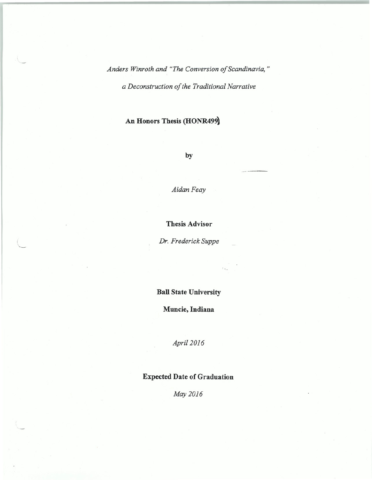*Anders Winroth and "The Conversion of Scandinavia,"* 

*a Deconstruction of the Traditional Narrative* 

## **An Honors Thesis (HONR499)**

**by** 

*AidanFeay* 

**Thesis Advisor** 

*Dr. Frederick Suppe* 

' •

 $\setminus$ 

**Ball State University** 

**Muncie, Indiana** 

*Apri/2016* 

## **Expected Date of Graduation**

*May 2016*